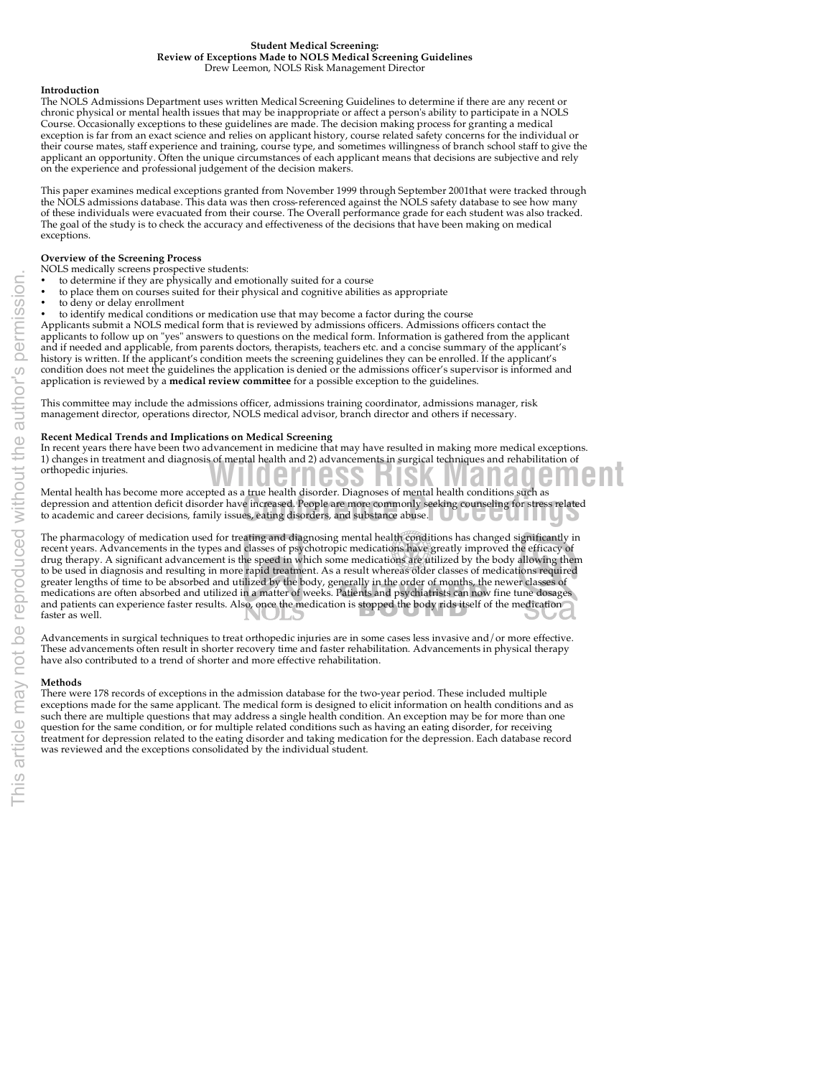### **Student Medical Screening: Review of Exceptions Made to NOLS Medical Screening Guidelines** Drew Leemon, NOLS Risk Management Director

# **Introduction**

The NOLS Admissions Department uses written Medical Screening Guidelines to determine if there are any recent or chronic physical or mental health issues that may be inappropriate or affect a person's ability to participate in a NOLS Course. Occasionally exceptions to these guidelines are made. The decision making process for granting a medical exception is far from an exact science and relies on applicant history, course related safety concerns for the individual or their course mates, staff experience and training, course type, and sometimes willingness of branch school staff to give the applicant an opportunity. Often the unique circumstances of each applicant means that decisions are subjective and rely on the experience and professional judgement of the decision makers.

This paper examines medical exceptions granted from November 1999 through September 2001that were tracked through the NOLS admissions database. This data was then cross-referenced against the NOLS safety database to see how many of these individuals were evacuated from their course. The Overall performance grade for each student was also tracked. The goal of the study is to check the accuracy and effectiveness of the decisions that have been making on medical exceptions.

# **Overview of the Screening Process**

NOLS medically screens prospective students:

- to determine if they are physically and emotionally suited for a course
- to place them on courses suited for their physical and cognitive abilities as appropriate
- to deny or delay enrollment
- to identify medical conditions or medication use that may become a factor during the course

Applicants submit a NOLS medical form that is reviewed by admissions officers. Admissions officers contact the applicants to follow up on "yes" answers to questions on the medical form. Information is gathered from the applicant and if needed and applicable, from parents doctors, therapists, teachers etc. and a concise summary of the applicant's history is written. If the applicant's condition meets the screening guidelines they can be enrolled. If the applicant's condition does not meet the guidelines the application is denied or the admissions officer's supervisor is informed and application is reviewed by a **medical review committee** for a possible exception to the guidelines.

This committee may include the admissions officer, admissions training coordinator, admissions manager, risk management director, operations director, NOLS medical advisor, branch director and others if necessary.

### **Recent Medical Trends and Implications on Medical Screening**

**Mental health has become more accepted as a true health disorder. Diagnoses of mental health conditions such as**<br>Mental health has become more accepted as a true health disorder. Diagnoses of mental health conditions such In recent years there have been two advancement in medicine that may have resulted in making more medical exceptions. 1) changes in treatment and diagnosis of mental health and 2) advancements in surgical techniques and rehabilitation of orthopedic injuries.

Mental health has become more accepted as a the health disorder. Diagnoses of hieldal health conditions such as<br>depression and attention deficit disorder have increased. People are more commonly seeking counseling for stre to academic and career decisions, family issues, eating disorders, and substance abuse.

The pharmacology of medication used for treating and diagnosing mental health conditions has changed significantly in recent years. Advancements in the types and classes of psychotropic medications have greatly improved the efficacy of drug therapy. A significant advancement is the speed in which some medications are utilized by the body allowing them to be used in diagnosis and resulting in more rapid treatment. As a result whereas older classes of medications required greater lengths of time to be absorbed and utilized by the body, generally in the order of months, the newer classes of medications are often absorbed and utilized in a matter of weeks. Patients and psychiatrists can now fine tune dosages and patients can experience faster results. Also, once the medication is stopped the body rids itself of the medication faster as well.

Advancements in surgical techniques to treat orthopedic injuries are in some cases less invasive and/or more effective. These advancements often result in shorter recovery time and faster rehabilitation. Advancements in physical therapy have also contributed to a trend of shorter and more effective rehabilitation.

### **Methods**

There were 178 records of exceptions in the admission database for the two-year period. These included multiple exceptions made for the same applicant. The medical form is designed to elicit information on health conditions and as such there are multiple questions that may address a single health condition. An exception may be for more than one question for the same condition, or for multiple related conditions such as having an eating disorder, for receiving treatment for depression related to the eating disorder and taking medication for the depression. Each database record was reviewed and the exceptions consolidated by the individual student.

ION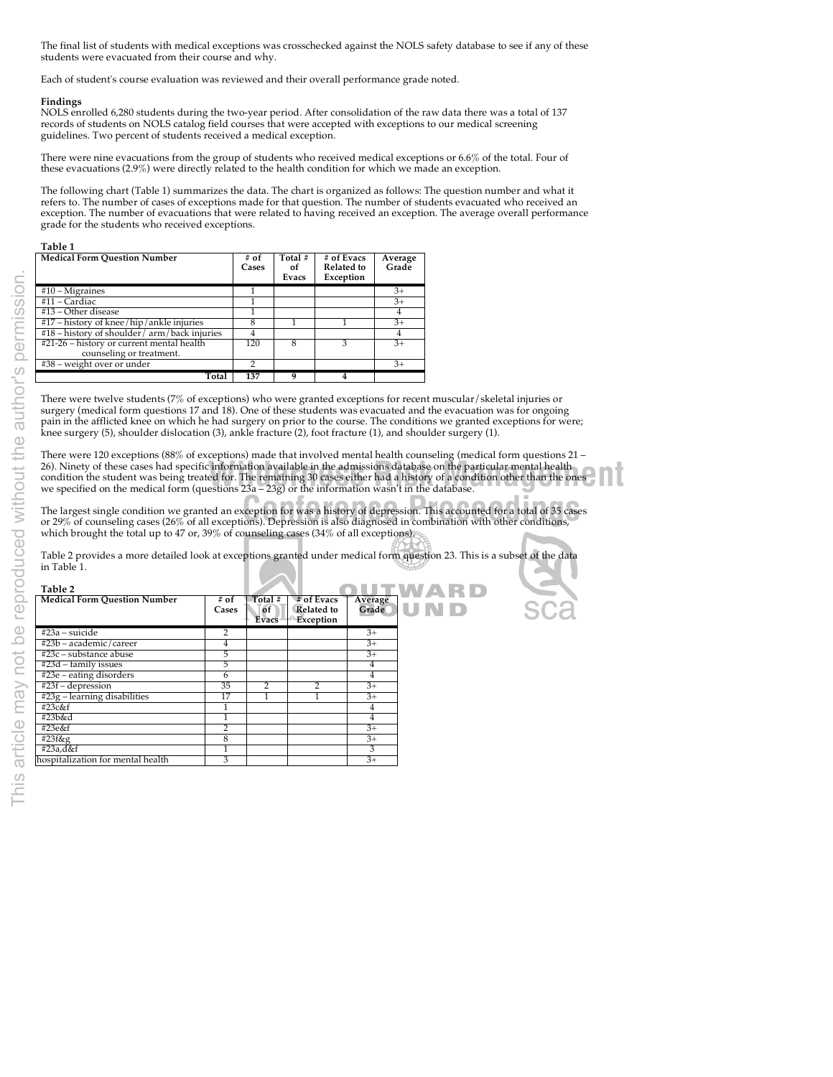The final list of students with medical exceptions was crosschecked against the NOLS safety database to see if any of these students were evacuated from their course and why.

Each of student's course evaluation was reviewed and their overall performance grade noted.

# **Findings**

NOLS enrolled 6,280 students during the two-year period. After consolidation of the raw data there was a total of 137 records of students on NOLS catalog field courses that were accepted with exceptions to our medical screening guidelines. Two percent of students received a medical exception.

There were nine evacuations from the group of students who received medical exceptions or 6.6% of the total. Four of these evacuations (2.9%) were directly related to the health condition for which we made an exception.

The following chart (Table 1) summarizes the data. The chart is organized as follows: The question number and what it refers to. The number of cases of exceptions made for that question. The number of students evacuated who received an exception. The number of evacuations that were related to having received an exception. The average overall performance grade for the students who received exceptions.

### **Table 1**

| <b>Medical Form Question Number</b>                                   | # of<br>Cases | Total #<br>of<br>Evacs | # of Evacs<br>Related to<br>Exception | Average<br>Grade |
|-----------------------------------------------------------------------|---------------|------------------------|---------------------------------------|------------------|
| $#10 - Migraines$                                                     |               |                        |                                       | $3+$             |
| #11 – Cardiac                                                         |               |                        |                                       | $3+$             |
| #13 – Other disease                                                   |               |                        |                                       | 4                |
| $#17$ – history of knee/hip/ankle injuries                            |               |                        |                                       | $3+$             |
| #18 – history of shoulder/arm/back injuries                           | 4             |                        |                                       | $\overline{4}$   |
| #21-26 - history or current mental health<br>counseling or treatment. | 120           | 8                      |                                       | $3+$             |
| #38 – weight over or under                                            |               |                        |                                       | $3+$             |
| Total                                                                 | 137           | q                      |                                       |                  |

There were twelve students (7% of exceptions) who were granted exceptions for recent muscular/skeletal injuries or surgery (medical form questions 17 and 18). One of these students was evacuated and the evacuation was for ongoing pain in the afflicted knee on which he had surgery on prior to the course. The conditions we granted exceptions for were; knee surgery (5), shoulder dislocation (3), ankle fracture (2), foot fracture (1), and shoulder surgery (1).

26). Ninety of these cases had specific information available in the admissions database on the particular mental health<br>condition the student was being treated for. The remaining 30 cases either had a history of a conditi There were 120 exceptions (88% of exceptions) made that involved mental health counseling (medical form questions 21 – 26). Ninety of these cases had specific information available in the admissions database on the particular mental health we specified on the medical form (questions 23a – 23g) or the information wasn't in the database.

D

<sup>2</sup><br>The largest single condition we granted an exception for was a history of depression. This accounted for a total of 35 cases<br>or 29% of counseling cases (26% of all exceptions). Depression is also diagnosed in combinati or 29% of counseling cases (26% of all exceptions). Depression is also diagnosed in combination with other conditions, which brought the total up to 47 or, 39% of counseling cases (34% of all exceptions).

Table 2 provides a more detailed look at exceptions granted under medical form question 23. This is a subset of the data in Table 1.

| Table 2                             |                 |                        |                                       |                  |  |
|-------------------------------------|-----------------|------------------------|---------------------------------------|------------------|--|
| <b>Medical Form Ouestion Number</b> | $#$ of<br>Cases | Total #<br>of<br>Evacs | # of Evacs<br>Related to<br>Exception | Average<br>Grade |  |
| #23a – suicide                      | 2               |                        |                                       | $3+$             |  |
| #23b – academic/career              |                 |                        |                                       | $3+$             |  |
| #23c – substance abuse              | 5               |                        |                                       | $3+$             |  |
| #23d – family issues                | 5               |                        |                                       | 4                |  |
| #23e – eating disorders             | <sub>t</sub>    |                        |                                       | 4                |  |
| #23f - depression                   | 35              | 2                      | 2                                     | $3+$             |  |
| $#23g$ – learning disabilities      | 17              |                        |                                       | $3+$             |  |
| #23c&f                              |                 |                        |                                       | 4                |  |
| #23b&d                              |                 |                        |                                       | 4                |  |
| #23e&f                              |                 |                        |                                       | $3+$             |  |
| #23f&g                              | 8               |                        |                                       | $3+$             |  |
| #23a,d&f                            |                 |                        |                                       | 3                |  |
| hospitalization for mental health   | 3               |                        |                                       | $3+$             |  |